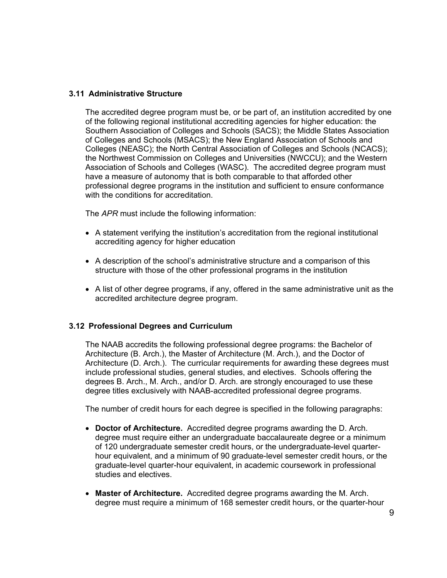## **3.11 Administrative Structure**

The accredited degree program must be, or be part of, an institution accredited by one of the following regional institutional accrediting agencies for higher education: the Southern Association of Colleges and Schools (SACS); the Middle States Association of Colleges and Schools (MSACS); the New England Association of Schools and Colleges (NEASC); the North Central Association of Colleges and Schools (NCACS); the Northwest Commission on Colleges and Universities (NWCCU); and the Western Association of Schools and Colleges (WASC). The accredited degree program must have a measure of autonomy that is both comparable to that afforded other professional degree programs in the institution and sufficient to ensure conformance with the conditions for accreditation.

The *APR* must include the following information:

- A statement verifying the institution's accreditation from the regional institutional accrediting agency for higher education
- A description of the school's administrative structure and a comparison of this structure with those of the other professional programs in the institution
- " A list of other degree programs, if any, offered in the same administrative unit as the accredited architecture degree program.

## **3.12 Professional Degrees and Curriculum**

The NAAB accredits the following professional degree programs: the Bachelor of Architecture (B. Arch.), the Master of Architecture (M. Arch.), and the Doctor of Architecture (D. Arch.). The curricular requirements for awarding these degrees must include professional studies, general studies, and electives. Schools offering the degrees B. Arch., M. Arch., and/or D. Arch. are strongly encouraged to use these degree titles exclusively with NAAB-accredited professional degree programs.

The number of credit hours for each degree is specified in the following paragraphs:

- **Doctor of Architecture.** Accredited degree programs awarding the D. Arch. degree must require either an undergraduate baccalaureate degree or a minimum of 120 undergraduate semester credit hours, or the undergraduate-level quarterhour equivalent, and a minimum of 90 graduate-level semester credit hours, or the graduate-level quarter-hour equivalent, in academic coursework in professional studies and electives.
- **Master of Architecture.** Accredited degree programs awarding the M. Arch. degree must require a minimum of 168 semester credit hours, or the quarter-hour